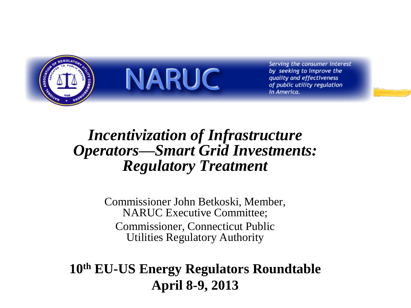

**NARUC** 

Serving the consumer interest by seeking to improve the quality and effectiveness of public utility regulation in America.

### *Incentivization of Infrastructure Operators—Smart Grid Investments: Regulatory Treatment*

Commissioner John Betkoski, Member, NARUC Executive Committee; Commissioner, Connecticut Public Utilities Regulatory Authority

#### **10th EU-US Energy Regulators Roundtable April 8-9, 2013**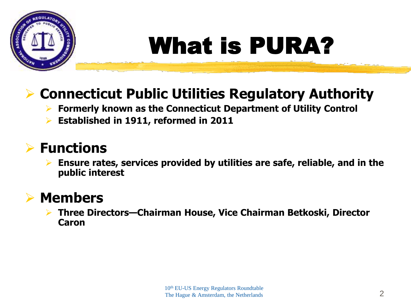

# What is PURA?

### **Connecticut Public Utilities Regulatory Authority**

- **Formerly known as the Connecticut Department of Utility Control**
- **Established in 1911, reformed in 2011**

### **Functions**

 **Ensure rates, services provided by utilities are safe, reliable, and in the public interest**

#### **Members**

 **Three Directors—Chairman House, Vice Chairman Betkoski, Director Caron**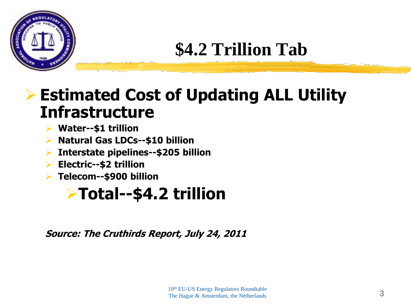

# **\$4.2 Trillion Tab**

### **Estimated Cost of Updating ALL Utility Infrastructure**

- **Water--\$1 trillion**
- **Natural Gas LDCs--\$10 billion**
- **Interstate pipelines--\$205 billion**
- **Electric--\$2 trillion**
- **Telecom--\$900 billion**

### **Total--\$4.2 trillion**

**Source: The Cruthirds Report, July 24, 2011**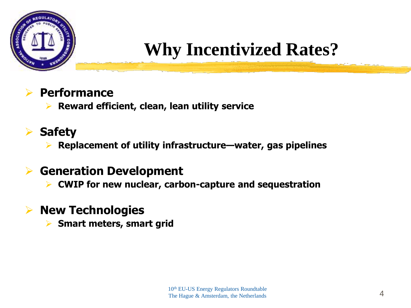

# **Why Incentivized Rates?**

#### **Performance**

**Reward efficient, clean, lean utility service**

#### **Safety**

**Replacement of utility infrastructure—water, gas pipelines**

#### **Generation Development**

**CWIP for new nuclear, carbon-capture and sequestration**

#### **New Technologies**

**Smart meters, smart grid**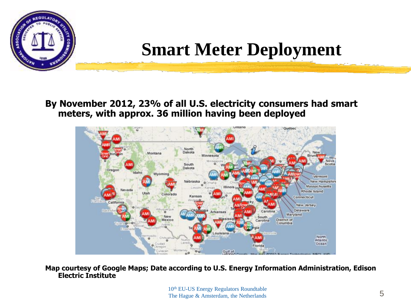

### **Smart Meter Deployment**

#### **By November 2012, 23% of all U.S. electricity consumers had smart meters, with approx. 36 million having been deployed**



**Map courtesy of Google Maps; Date according to U.S. Energy Information Administration, Edison Electric Institute**

> 10th EU-US Energy Regulators Roundtable The Hague & Amsterdam, the Netherlands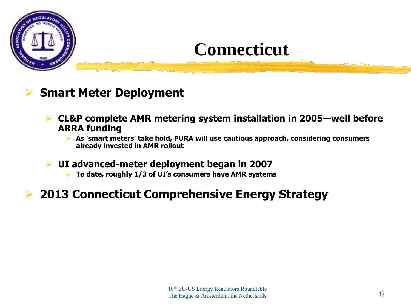

### **Connecticut**

#### **Smart Meter Deployment**

- **CL&P complete AMR metering system installation in 2005—well before ARRA funding**
	- **As 'smart meters' take hold, PURA will use cautious approach, considering consumers already invested in AMR rollout**
- **UI advanced-meter deployment began in 2007**
	- **To date, roughly 1/3 of UI's consumers have AMR systems**

#### **2013 Connecticut Comprehensive Energy Strategy**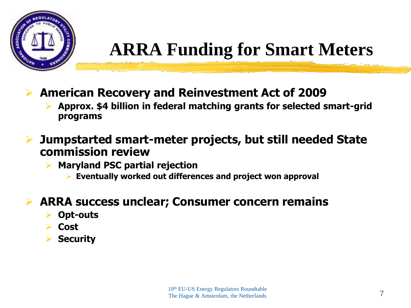

# **ARRA Funding for Smart Meters**

- **American Recovery and Reinvestment Act of 2009**
	- **Approx. \$4 billion in federal matching grants for selected smart-grid programs**
- **Jumpstarted smart-meter projects, but still needed State commission review**
	- **Maryland PSC partial rejection**
		- **Eventually worked out differences and project won approval**

#### **ARRA success unclear; Consumer concern remains**

- **Opt-outs**
- **Cost**
- **Security**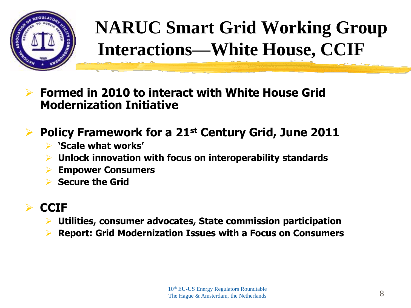

# **NARUC Smart Grid Working Group Interactions—White House, CCIF**

- **Formed in 2010 to interact with White House Grid Modernization Initiative**
- **Policy Framework for a 21st Century Grid, June 2011**
	- **'Scale what works'**
	- **Unlock innovation with focus on interoperability standards**
	- **Empower Consumers**
	- **Secure the Grid**

#### **CCIF**

- **Utilities, consumer advocates, State commission participation**
- **Report: Grid Modernization Issues with a Focus on Consumers**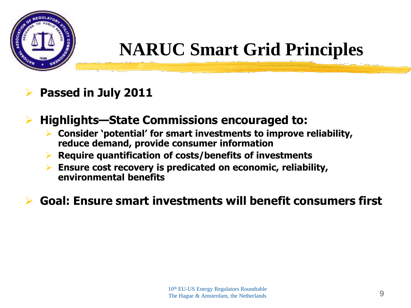

## **NARUC Smart Grid Principles**

#### **Passed in July 2011**

#### **Highlights—State Commissions encouraged to:**

- **Consider 'potential' for smart investments to improve reliability, reduce demand, provide consumer information**
- **Require quantification of costs/benefits of investments**
- **Ensure cost recovery is predicated on economic, reliability, environmental benefits**

#### **Goal: Ensure smart investments will benefit consumers first**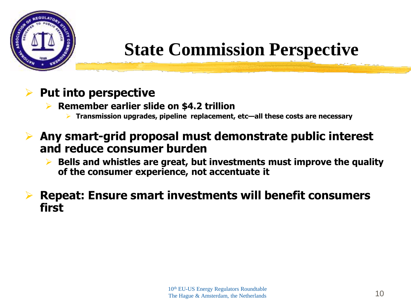

# **State Commission Perspective**

#### **Put into perspective**

**Remember earlier slide on \$4.2 trillion**

- **Transmission upgrades, pipeline replacement, etc—all these costs are necessary**
- **Any smart-grid proposal must demonstrate public interest and reduce consumer burden**
	- **Bells and whistles are great, but investments must improve the quality of the consumer experience, not accentuate it**

#### **Repeat: Ensure smart investments will benefit consumers first**